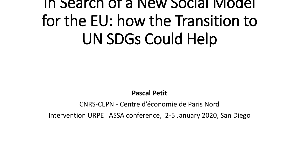# In Search of a New Social Model for the EU: how the Transition to UN SDGs Could Help

#### **Pascal Petit**

#### CNRS-CEPN - Centre d'économie de Paris Nord Intervention URPE ASSA conference, 2-5 January 2020, San Diego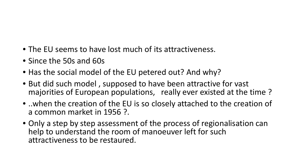- The EU seems to have lost much of its attractiveness.
- Since the 50s and 60s
- Has the social model of the EU petered out? And why?
- But did such model , supposed to have been attractive for vast majorities of European populations, really ever existed at the time ?
- ..when the creation of the EU is so closely attached to the creation of a common market in 1956 ?.
- Only a step by step assessment of the process of regionalisation can help to understand the room of manoeuver left for such attractiveness to be restaured.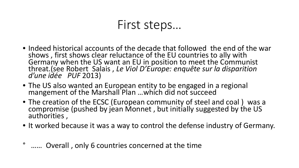#### First steps…

- Indeed historical accounts of the decade that followed the end of the war shows , first shows clear reluctance of the EU countries to ally with Germany when the US want an EU in position to meet the Communist threat.(see Robert Salais , *Le Viol D'Europe: enquête sur la disparition d'une idée PUF* 2013)
- The US also wanted an European entity to be engaged in a regional mangement of the Marshall Plan …which did not succeed
- The creation of the ECSC (European community of steel and coal ) was a compromise (pushed by jèan Monnet , but initi̇́ally suggested by t๋he US<br>authorities ,
- It worked because it was a way to control the defense industry of Germany.
- ...... Overall, only 6 countries concerned at the time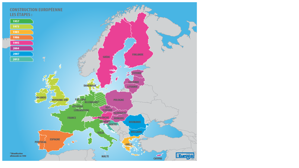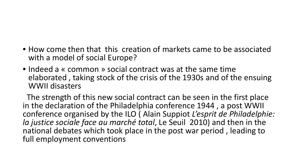#### • How come then that this creation of markets came to be associated with a model of social Europe?

• Indeed a « common » social contract was at the same time elaborated , taking stock of the crisis of the 1930s and of the ensuing WWII disasters

The strength of this new social contract can be seen in the first place in the declaration of the Philadelphia conference 1944 , a post WWII conference organised by the ILO ( Alain Suppiot *L'esprit de Philadelphie: la justice sociale face au marché total*, Le Seuil 2010) and then in the national debates which took place in the post war period , leading to full employment conventions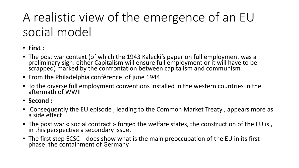# A realistic view of the emergence of an EU social model

- **First :**
- The post war context (of which the 1943 Kalecki's paper on full employment was a preliminary sign: either Capitalism will ensure full employment or it will have to be scrapped) marked by the confrontation between capitalism and communism
- From the Philadelphia conférence of june 1944
- To the diverse full employment conventions installed in the western countries in the aftermath of WWII
- **Second :**
- Consequently the EU episode , leading to the Common Market Treaty , appears more as a side effect
- The post war « social contract » forged the welfare states, the construction of the EU is , in this perspective a secondary issue.
- The first step ECSC does show what is the main preoccupation of the EU in its first phase: the containment of Germany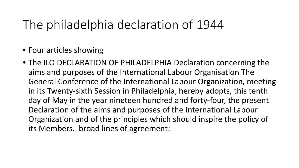## The philadelphia declaration of 1944

- Four articles showing
- The ILO DECLARATION OF PHILADELPHIA Declaration concerning the aims and purposes of the International Labour Organisation The General Conference of the International Labour Organization, meeting in its Twenty-sixth Session in Philadelphia, hereby adopts, this tenth day of May in the year nineteen hundred and forty-four, the present Declaration of the aims and purposes of the International Labour Organization and of the principles which should inspire the policy of its Members. broad lines of agreement: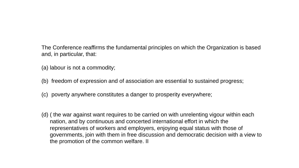The Conference reaffirms the fundamental principles on which the Organization is based and, in particular, that:

(a) labour is not a commodity;

- (b) freedom of expression and of association are essential to sustained progress;
- (c) poverty anywhere constitutes a danger to prosperity everywhere;
- (d) ( the war against want requires to be carried on with unrelenting vigour within each nation, and by continuous and concerted international effort in which the representatives of workers and employers, enjoying equal status with those of governments, join with them in free discussion and democratic decision with a view to the promotion of the common welfare. II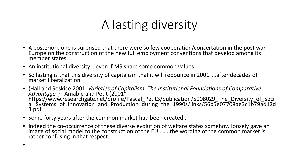# A lasting diversity

- A posteriori, one is surprised that there were so few cooperation/concertation in the post war Europe on the construction of the new full employment conventions that develop among its member states.
- An institutional diversity …even if MS share some common values
- So lasting is that this diversity of capitalism that it will rebounce in 2001 …after decades of market liberalization
- (Hall and Soskice 2001, *Varieties of Capitalism: The Institutional Foundations of Comparative*<br>Advantage ; Amable and Petit (2001° https://www.researchgate.net/profile/Pascal\_Petit3/publication/5008029\_The\_Diversity\_of\_Soci<br>al\_Systems\_of\_Innovation\_and\_Production\_during\_the\_1990s/links/56b5e07708ae3c1b79ad12d al\_Systems\_of\_Innovation\_and\_Production\_during\_the\_1990s/links/56b5e07708ae3c1b79ad12d<br>3.pdf
- Some forty years after the common market had been created .
- Indeed the co-occurrence of these diverse evolution of welfare states somehow loosely gave an image of social model to the construction of the EU . …. the wording of the common market is rather confusing in that respect.
- •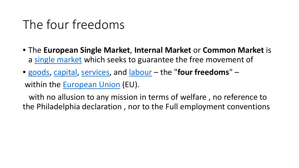## The four freedoms

- The **European Single Market**, **Internal Market** or **Common Market** is a [single market](https://en.wikipedia.org/wiki/Single_market) which seeks to guarantee the free movement of
- [goods](https://en.wikipedia.org/wiki/Good_(economics)), [capital,](https://en.wikipedia.org/wiki/Capital_(economics)) [services,](https://en.wikipedia.org/wiki/Service_(economics)) and [labour](https://en.wikipedia.org/wiki/Freedom_of_movement_for_workers_in_the_European_Union) the "**four freedoms**" within the [European Union](https://en.wikipedia.org/wiki/European_Union) (EU).

with no allusion to any mission in terms of welfare , no reference to the Philadelphia declaration , nor to the Full employment conventions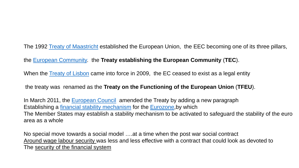The 1992 Treaty [of Maastricht](https://en.wikipedia.org/wiki/Treaty_of_Maastricht) established the European Union, the EEC becoming one of its three pillars,

the European [Community.](https://en.wikipedia.org/wiki/European_Community) the **Treaty establishing the European Community** (**TEC**).

When the Treaty [of Lisbon](https://en.wikipedia.org/wiki/Treaty_of_Lisbon) came into force in 2009, the EC ceased to exist as a legal entity

the treaty was renamed as the **Treaty on the Functioning of the European Union** (**TFEU**).

In March 2011, the **[European](https://en.wikipedia.org/wiki/European_Council) Council** amended the Treaty by adding a new paragraph Establishing a financial stability [mechanism](https://en.wikipedia.org/wiki/European_Stability_Mechanism) for the [Eurozone](https://en.wikipedia.org/wiki/Eurozone),by which The Member States may establish a stability mechanism to be activated to safeguard the stability of the euro area as a whole

No special move towards a social model ….at a time when the post war social contract Around wage labour security was less and less effective with a contract that could look as devoted to The security of the financial system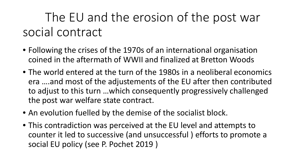# The EU and the erosion of the post war social contract

- Following the crises of the 1970s of an international organisation coined in the aftermath of WWII and finalized at Bretton Woods
- The world entered at the turn of the 1980s in a neoliberal economics era ….and most of the adjustements of the EU after then contributed to adjust to this turn …which consequently progressively challenged the post war welfare state contract.
- An evolution fuelled by the demise of the socialist block.
- This contradiction was perceived at the EU level and attempts to counter it led to successive (and unsuccessful ) efforts to promote a social EU policy (see P. Pochet 2019 )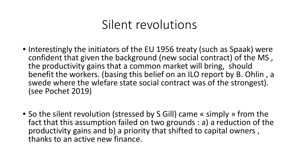#### Silent revolutions

- Interestingly the initiators of the EU 1956 treaty (such as Spaak) were confident that given the background (new social contract) of the MS , the productivity gains that a common market will bring, should benefit the workers. (basing this belief on an ILO report by B. Ohlin , a swede where the wlefare state social contract was of the strongest). (see Pochet 2019)
- So the silent revolution (stressed by S Gill) came « simply » from the fact that this assumption failed on two grounds : a) a reduction of the productivity gains and b) a priority that shifted to capital owners , thanks to an active new finance.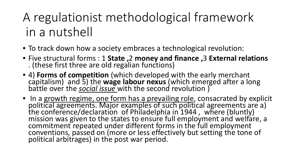# A regulationist methodological framework in a nutshell

- To track down how a society embraces a technological revolution:
- Five structural forms : 1 **State ,**2 **money and finance ,**3 **External relations**  . (these first three are old regalian functions)
- 4) **Forms of competition** (which developed with the early merchant capitalism) and 5) the **wage labour nexus** (which emerged after a long<br>battle over the <u>social issue with the second revolution )</u>
- In a growth regime, one form has a prevailing role, consacrated by explicit political agreements. Major examples of such political agreements are a) the conference/declaration of Philadelphia in 1944, where (bluntly) mission was given to the states to ensure full employment and welfare, a commitment repeated under different forms in the full employment conventions, passed on (more or less effectively but setting the tone of political arbitrages) in the post war period.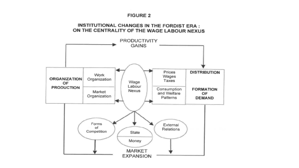#### **FIGURE 2**

#### INSTITUTIONAL CHANGES IN THE FORDIST ERA : ON THE CENTRALITY OF THE WAGE LABOUR NEXUS

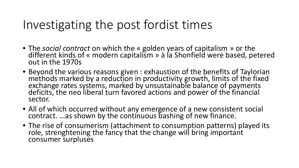# Investigating the post fordist times

- The *social contract* on which the « golden years of capitalism » or the different kinds of « modern capitalism » à la Shonfielḋ were based, petered<br>out in the 1970s
- Beyond the various reasons given : exhaustion of the benefits of Taylorian methods marked by a reduction in productivity growth, limits of the fixed deficits, the neo liberal turn favored actions and power of the financial sector.
- All of which occurred without any emergence of a new consistent social contract. …as shown by the continuous bashing of new finance.
- The rise of consumerism (attachment to consumption patterns) played its role, strenghtening the fancy that the change will bring important consumer surpluses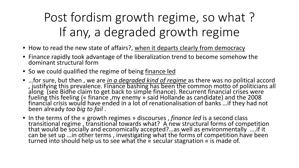# Post fordism growth regime, so what ? If any, a degraded growth regime

- How to read the new state of affairs?, when it departs clearly from democracy
- Finance rapidly took advantage of the liberalization trend to become somehow the dominant structural form
- So we could qualified the regime of being finance led
- …for sure, but then , we are *in a degraded kind of regime* as there was no political accord , justifying this prevalence. Finance bashing has been the common motto of politicians all along (see Bidhe claim to get back to simple finance). Recurrent financial crises were fueling this feeling (« finance ,my enemy » said Hollande as candidate) and the 2008<br>financial crisis would have ended in a lot of renationalisation of banks …if they had not been already *too big to fail* .
- In the terms of the « growth regimes » discourses , *finance led* is a second class transitional regime , transitional towards what? A new structural forms of competition<br>that would be socially and economically accepted?…as well as environmentally ….if it can be set up ...in other terms, investigating what the forms of competition have been turned into should help us to see what the « secular stagnation « is made of.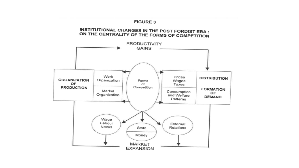#### **FIGURE 3**

#### INSTITUTIONAL CHANGES IN THE POST FORDIST ERA : ON THE CENTRALITY OF THE FORMS OF COMPETITION

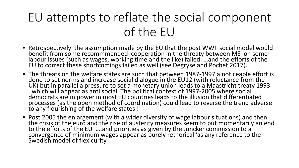# EU attempts to reflate the social component of the EU

- Retrospectively the assumption made by the EU that the post WWII social model would benefit from some recommmended cooperation in the threaty between MS on some labour issues (such as wages, working time and the like) failed. …and the efforts of the EU to correct these shortcomings failed as well (see Degryse and Pochet 2017).
- The threats on the welfare states are such that between 1987-1997 a noticeable effort is done to set norms and increase social dialogue in the EU12 (with reluctance from the UK) but in parallel a pressure to set a monetary union leads to a Maastricht treaty 1993<br>..which will appear as anti social. The political context of 1997-2005 where social democrats are in power in most EU countries leads to the illusion that differentiated processes (as the open method of coordination) could lead to reverse the trend adverse to any flourishing of the welfare states !
- Post 2005 the enlargement (with a wider diversity of wage labour situations) and then the crisis of the euro and the rise of austerity measures seem to put momentarily an end to the efforts of the EU ….and priorities as given by the Juncker commission to a<br>convergence of minimum wages appear as purely rethorical 'as any reference to the convergence of minimum wages appear as purely rethorical 'as any reference to the Swedish model of flexicurity.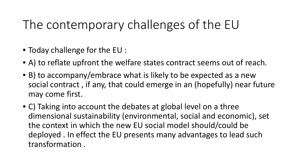# The contemporary challenges of the EU

- Today challenge for the EU :
- A) to reflate upfront the welfare states contract seems out of reach.
- B) to accompany/embrace what is likely to be expected as a new social contract , if any, that could emerge in an (hopefully) near future may come first.
- C) Taking into account the debates at global level on a three dimensional sustainability (environmental, social and economic), set the context in which the new EU social model should/could be deployed . In effect the EU presents many advantages to lead such transformation .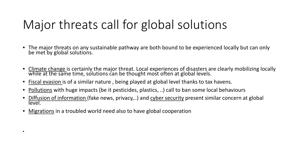# Major threats call for global solutions

- The major threats on any sustainable pathway are both bound to be experienced locally but can only be met by global solutions.
- Climate change is certainly the major threat. Local experiences of disasters are clearly mobilizing locally while at the same time, solutions can be thought most often at global levels.
- Fiscal evasion is of a similar nature , being played at global level thanks to tax havens.
- Pollutions with huge impacts (be it pesticides, plastics, ..) call to ban some local behaviours
- Diffusion of information (fake news, privacy,..) and cyber security present similar concern at global level.
- Migrations in a troubled world need also to have global cooperation

•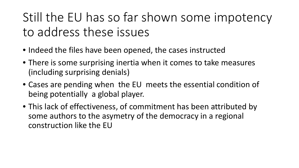# Still the EU has so far shown some impotency to address these issues

- Indeed the files have been opened, the cases instructed
- There is some surprising inertia when it comes to take measures (including surprising denials)
- Cases are pending when the EU meets the essential condition of being potentially a global player.
- This lack of effectiveness, of commitment has been attributed by some authors to the asymetry of the democracy in a regional construction like the EU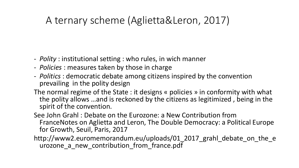#### A ternary scheme (Aglietta&Leron, 2017)

- *Polity* : institutional setting : who rules, in wich manner
- *Policies* : measures taken by those in charge
- *Politics* : democratic debate among citizens inspired by the convention prevailing in the polity design
- The normal regime of the State : it designs « policies » in conformity with what the polity allows …and is reckoned by the citizens as legitimized , being in the spirit of the convention.
- See John Grahl : Debate on the Eurozone: a New Contribution from FranceNotes on Aglietta and Leron, The Double Democracy: a Political Europe for Growth, Seuil, Paris, 2017
- http://www2.euromemorandum.eu/uploads/01\_2017\_grahl\_debate\_on\_the\_e urozone a new contribution from france.pdf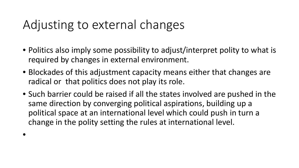## Adjusting to external changes

•

- Politics also imply some possibility to adjust/interpret polity to what is required by changes in external environment.
- Blockades of this adjustment capacity means either that changes are radical or that politics does not play its role.
- Such barrier could be raised if all the states involved are pushed in the same direction by converging political aspirations, building up a political space at an international level which could push in turn a change in the polity setting the rules at international level.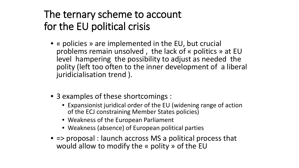#### The ternary scheme to account for the EU political crisis

- « policies » are implemented in the EU, but crucial problems remain unsolved , the lack of « politics » at EU level hampering the possibility to adjust as needed the polity (left too often to the inner development of a liberal juridicialisation trend ).
- 3 examples of these shortcomings :
	- Expansionist juridical order of the EU (widening range of action of the ECJ constraining Member States policies)
	- Weakness of the European Parliament
	- Weakness (absence) of European political parties
- => proposal : launch accross MS a political process that would allow to modify the « polity » of the EU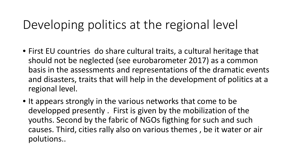## Developing politics at the regional level

- First EU countries do share cultural traits, a cultural heritage that should not be neglected (see eurobarometer 2017) as a common basis in the assessments and representations of the dramatic events and disasters, traits that will help in the development of politics at a regional level.
- It appears strongly in the various networks that come to be developped presently . First is given by the mobilization of the youths. Second by the fabric of NGOs figthing for such and such causes. Third, cities rally also on various themes , be it water or air polutions..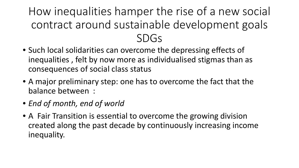#### How inequalities hamper the rise of a new social contract around sustainable development goals SDGs

- Such local solidarities can overcome the depressing effects of inequalities , felt by now more as individualised stigmas than as consequences of social class status
- A major preliminary step: one has to overcome the fact that the balance between :
- *End of month, end of world*
- A Fair Transition is essential to overcome the growing division created along the past decade by continuously increasing income inequality.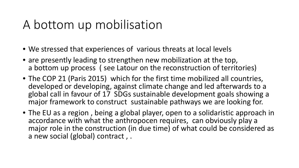## A bottom up mobilisation

- We stressed that experiences of various threats at local levels
- are presently leading to strengthen new mobilization at the top, a bottom up process ( see Latour on the reconstruction of territories)
- The COP 21 (Paris 2015) which for the first time mobilized all countries, developed or developing, against climate change and led afterwards to a global call in favour of 17 SDGs sustainable development goals showing a major framework to construct sustainable pathways we are looking for.
- The EU as a region, being a global player, open to a solidaristic approach in accordance with what the anthropocen requires, can obviously play a major role in the construction (in due time) of what could be considered as a new social (global) contract , .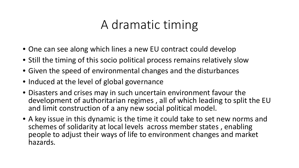## A dramatic timing

- One can see along which lines a new EU contract could develop
- Still the timing of this socio political process remains relatively slow
- Given the speed of environmental changes and the disturbances
- Induced at the level of global governance
- Disasters and crises may in such uncertain environment favour the development of authoritarian regimes , all of which leading to split the EU and limit construction of a any new social political model.
- A key issue in this dynamic is the time it could take to set new norms and schemes of solidarity at local levels across member states , enabling people to adjust their ways of life to environment changes and market hazards.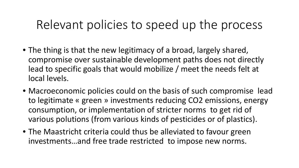#### Relevant policies to speed up the process

- The thing is that the new legitimacy of a broad, largely shared, compromise over sustainable development paths does not directly lead to specific goals that would mobilize / meet the needs felt at local levels.
- Macroeconomic policies could on the basis of such compromise lead to legitimate « green » investments reducing CO2 emissions, energy consumption, or implementation of stricter norms to get rid of various polutions (from various kinds of pesticides or of plastics).
- The Maastricht criteria could thus be alleviated to favour green investments…and free trade restricted to impose new norms.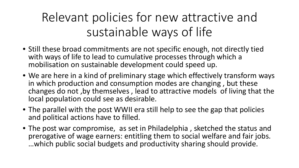# Relevant policies for new attractive and sustainable ways of life

- Still these broad commitments are not specific enough, not directly tied with ways of life to lead to cumulative processes through which a mobilisation on sustainable development could speed up.
- We are here in a kind of preliminary stage which effectively transform ways in which production and consumption modes are changing , but these changes do not ,by themselves , lead to attractive models of living that the local population could see as desirable.
- The parallel with the post WWII era still help to see the gap that policies and political actions have to filled.
- The post war compromise, as set in Philadelphia , sketched the status and prerogative of wage earners: entitling them to social welfare and fair jobs. …which public social budgets and productivity sharing should provide.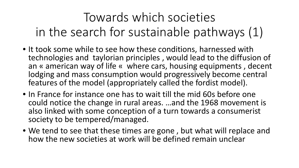# Towards which societies in the search for sustainable pathways (1)

- It took some while to see how these conditions, harnessed with technologies and taylorian principles , would lead to the diffusion of an « american way of life « where cars, housing equipments , decent lodging and mass consumption would progressively become central features of the model (appropriately called the fordist model).
- In France for instance one has to wait till the mid 60s before one could notice the change in rural areas. …and the 1968 movement is also linked with some conception of a turn towards a consumerist society to be tempered/managed.
- We tend to see that these times are gone, but what will replace and how the new societies at work will be defined remain unclear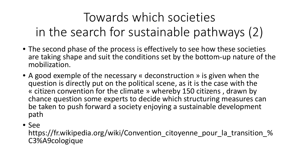# Towards which societies in the search for sustainable pathways (2)

- The second phase of the process is effectively to see how these societies are taking shape and suit the conditions set by the bottom-up nature of the mobilization.
- A good exemple of the necessary « deconstruction » is given when the question is directly put on the political scene, as it is the case with the « citizen convention for the climate » whereby 150 citizens , drawn by chance question some experts to decide which structuring measures can be taken to push forward a society enjoying a sustainable development path
- See

https://fr.wikipedia.org/wiki/Convention\_citoyenne\_pour\_la\_transition\_% C3%A9cologique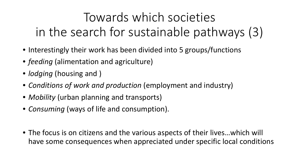# Towards which societies in the search for sustainable pathways (3)

- Interestingly their work has been divided into 5 groups/functions
- *feeding* (alimentation and agriculture)
- *lodging* (housing and )
- *Conditions of work and production* (employment and industry)
- *Mobility* (urban planning and transports)
- *Consuming* (ways of life and consumption).
- The focus is on citizens and the various aspects of their lives…which will have some consequences when appreciated under specific local conditions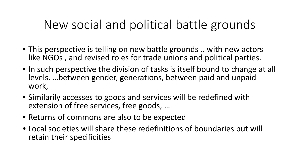## New social and political battle grounds

- This perspective is telling on new battle grounds .. with new actors like NGOs , and revised roles for trade unions and political parties.
- In such perspective the division of tasks is itself bound to change at all levels. …between gender, generations, between paid and unpaid work,
- Similarily accesses to goods and services will be redefined with extension of free services, free goods, …
- Returns of commons are also to be expected
- Local societies will share these redefinitions of boundaries but will retain their specificities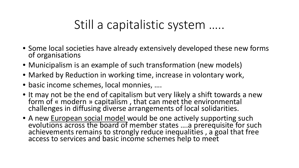#### Still a capitalistic system …..

- Some local societies have already extensively developed these new forms of organisations
- Municipalism is an example of such transformation (new models)
- Marked by Reduction in working time, increase in volontary work,
- basic income schemes, local monnies, ….
- It may not be the end of capitalism but very likely a shift towards a new form of « modern » capitalism , that can meet the environmental challenges in diffusing diverse arrangements of local solidarities.
- A new European social model would be one actively supporting such evolutions across the board of member states ....a prerequisite for such achievements remains to strongly reduce inequalities , a goal that free access to services and basic income schemes help to meet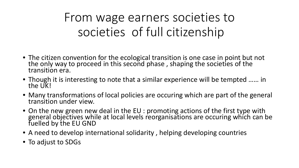# From wage earners societies to societies of full citizenship

- The citizen convention for the ecological transition is one case in point but not the only way to proceed in this second phase , shaping the societies of the transition era.
- Though it is interesting to note that a similar experience will be tempted …… in the UK!
- Many transformations of local policies are occuring which are part of the general transition under view.
- On the new green new deal in the EU : promoting actions of the first type with general objectives while at local levels reorganisations are occuring which can be fuelled by the EU GND
- A need to develop international solidarity, helping developing countries
- To adjust to SDGs